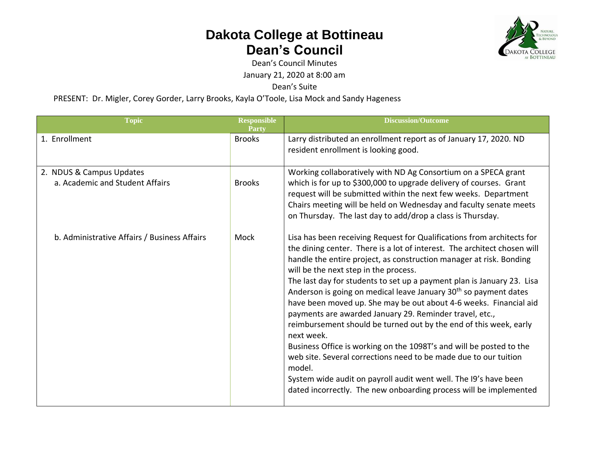

Dean's Council Minutes

January 21, 2020 at 8:00 am

Dean's Suite

PRESENT: Dr. Migler, Corey Gorder, Larry Brooks, Kayla O'Toole, Lisa Mock and Sandy Hageness

| <b>Topic</b>                                                | Responsible<br>Party | <b>Discussion/Outcome</b>                                                                                                                                                                                                                                                                                                                                                                                                                                                                                                                                                                                                                                                                                                                                                                                                                                                                                                                     |
|-------------------------------------------------------------|----------------------|-----------------------------------------------------------------------------------------------------------------------------------------------------------------------------------------------------------------------------------------------------------------------------------------------------------------------------------------------------------------------------------------------------------------------------------------------------------------------------------------------------------------------------------------------------------------------------------------------------------------------------------------------------------------------------------------------------------------------------------------------------------------------------------------------------------------------------------------------------------------------------------------------------------------------------------------------|
| 1. Enrollment                                               | <b>Brooks</b>        | Larry distributed an enrollment report as of January 17, 2020. ND<br>resident enrollment is looking good.                                                                                                                                                                                                                                                                                                                                                                                                                                                                                                                                                                                                                                                                                                                                                                                                                                     |
| 2. NDUS & Campus Updates<br>a. Academic and Student Affairs | <b>Brooks</b>        | Working collaboratively with ND Ag Consortium on a SPECA grant<br>which is for up to \$300,000 to upgrade delivery of courses. Grant<br>request will be submitted within the next few weeks. Department<br>Chairs meeting will be held on Wednesday and faculty senate meets<br>on Thursday. The last day to add/drop a class is Thursday.                                                                                                                                                                                                                                                                                                                                                                                                                                                                                                                                                                                                    |
| b. Administrative Affairs / Business Affairs                | Mock                 | Lisa has been receiving Request for Qualifications from architects for<br>the dining center. There is a lot of interest. The architect chosen will<br>handle the entire project, as construction manager at risk. Bonding<br>will be the next step in the process.<br>The last day for students to set up a payment plan is January 23. Lisa<br>Anderson is going on medical leave January 30 <sup>th</sup> so payment dates<br>have been moved up. She may be out about 4-6 weeks. Financial aid<br>payments are awarded January 29. Reminder travel, etc.,<br>reimbursement should be turned out by the end of this week, early<br>next week.<br>Business Office is working on the 1098T's and will be posted to the<br>web site. Several corrections need to be made due to our tuition<br>model.<br>System wide audit on payroll audit went well. The I9's have been<br>dated incorrectly. The new onboarding process will be implemented |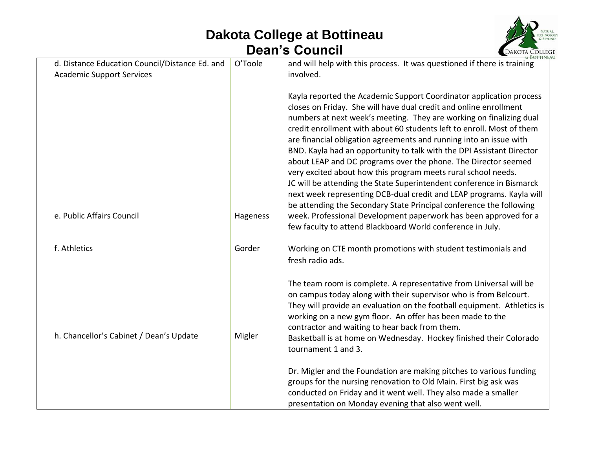

| O'Toole  | and will help with this process. It was questioned if there is training                                                                                                                                                                                                                                                                                                                                                                                                                                                                                                                                                                                                                                                                                                                                                                                                                                                             |
|----------|-------------------------------------------------------------------------------------------------------------------------------------------------------------------------------------------------------------------------------------------------------------------------------------------------------------------------------------------------------------------------------------------------------------------------------------------------------------------------------------------------------------------------------------------------------------------------------------------------------------------------------------------------------------------------------------------------------------------------------------------------------------------------------------------------------------------------------------------------------------------------------------------------------------------------------------|
|          | involved.                                                                                                                                                                                                                                                                                                                                                                                                                                                                                                                                                                                                                                                                                                                                                                                                                                                                                                                           |
| Hageness | Kayla reported the Academic Support Coordinator application process<br>closes on Friday. She will have dual credit and online enrollment<br>numbers at next week's meeting. They are working on finalizing dual<br>credit enrollment with about 60 students left to enroll. Most of them<br>are financial obligation agreements and running into an issue with<br>BND. Kayla had an opportunity to talk with the DPI Assistant Director<br>about LEAP and DC programs over the phone. The Director seemed<br>very excited about how this program meets rural school needs.<br>JC will be attending the State Superintendent conference in Bismarck<br>next week representing DCB-dual credit and LEAP programs. Kayla will<br>be attending the Secondary State Principal conference the following<br>week. Professional Development paperwork has been approved for a<br>few faculty to attend Blackboard World conference in July. |
| Gorder   | Working on CTE month promotions with student testimonials and                                                                                                                                                                                                                                                                                                                                                                                                                                                                                                                                                                                                                                                                                                                                                                                                                                                                       |
|          | fresh radio ads.                                                                                                                                                                                                                                                                                                                                                                                                                                                                                                                                                                                                                                                                                                                                                                                                                                                                                                                    |
| Migler   | The team room is complete. A representative from Universal will be<br>on campus today along with their supervisor who is from Belcourt.<br>They will provide an evaluation on the football equipment. Athletics is<br>working on a new gym floor. An offer has been made to the<br>contractor and waiting to hear back from them.<br>Basketball is at home on Wednesday. Hockey finished their Colorado<br>tournament 1 and 3.<br>Dr. Migler and the Foundation are making pitches to various funding<br>groups for the nursing renovation to Old Main. First big ask was<br>conducted on Friday and it went well. They also made a smaller<br>presentation on Monday evening that also went well.                                                                                                                                                                                                                                  |
|          |                                                                                                                                                                                                                                                                                                                                                                                                                                                                                                                                                                                                                                                                                                                                                                                                                                                                                                                                     |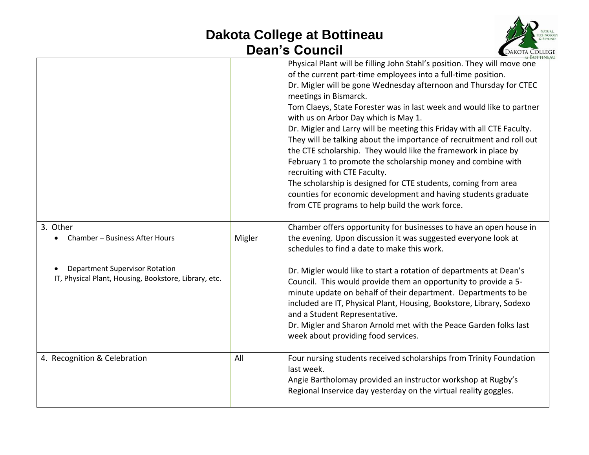

|                                                                                                |        | Physical Plant will be filling John Stahl's position. They will move one<br>of the current part-time employees into a full-time position.<br>Dr. Migler will be gone Wednesday afternoon and Thursday for CTEC<br>meetings in Bismarck.<br>Tom Claeys, State Forester was in last week and would like to partner<br>with us on Arbor Day which is May 1.<br>Dr. Migler and Larry will be meeting this Friday with all CTE Faculty.<br>They will be talking about the importance of recruitment and roll out<br>the CTE scholarship. They would like the framework in place by<br>February 1 to promote the scholarship money and combine with<br>recruiting with CTE Faculty.<br>The scholarship is designed for CTE students, coming from area<br>counties for economic development and having students graduate<br>from CTE programs to help build the work force. |
|------------------------------------------------------------------------------------------------|--------|----------------------------------------------------------------------------------------------------------------------------------------------------------------------------------------------------------------------------------------------------------------------------------------------------------------------------------------------------------------------------------------------------------------------------------------------------------------------------------------------------------------------------------------------------------------------------------------------------------------------------------------------------------------------------------------------------------------------------------------------------------------------------------------------------------------------------------------------------------------------|
| 3. Other<br>Chamber - Business After Hours                                                     | Migler | Chamber offers opportunity for businesses to have an open house in<br>the evening. Upon discussion it was suggested everyone look at<br>schedules to find a date to make this work.                                                                                                                                                                                                                                                                                                                                                                                                                                                                                                                                                                                                                                                                                  |
| <b>Department Supervisor Rotation</b><br>IT, Physical Plant, Housing, Bookstore, Library, etc. |        | Dr. Migler would like to start a rotation of departments at Dean's<br>Council. This would provide them an opportunity to provide a 5-<br>minute update on behalf of their department. Departments to be<br>included are IT, Physical Plant, Housing, Bookstore, Library, Sodexo<br>and a Student Representative.<br>Dr. Migler and Sharon Arnold met with the Peace Garden folks last<br>week about providing food services.                                                                                                                                                                                                                                                                                                                                                                                                                                         |
| 4. Recognition & Celebration                                                                   | All    | Four nursing students received scholarships from Trinity Foundation<br>last week.<br>Angie Bartholomay provided an instructor workshop at Rugby's<br>Regional Inservice day yesterday on the virtual reality goggles.                                                                                                                                                                                                                                                                                                                                                                                                                                                                                                                                                                                                                                                |